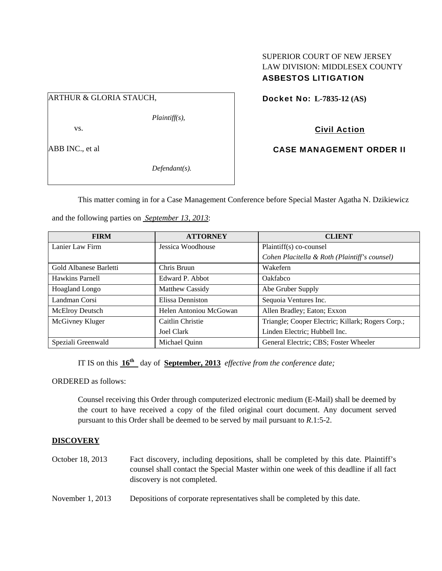# SUPERIOR COURT OF NEW JERSEY LAW DIVISION: MIDDLESEX COUNTY ASBESTOS LITIGATION

# ARTHUR & GLORIA STAUCH,

*Plaintiff(s),* 

vs.

ABB INC., et al

*Defendant(s).* 

Docket No: **L-7835-12 (AS)** 

# Civil Action

CASE MANAGEMENT ORDER II

This matter coming in for a Case Management Conference before Special Master Agatha N. Dzikiewicz

and the following parties on *September 13, 2013*:

| <b>FIRM</b>            | <b>ATTORNEY</b>        | <b>CLIENT</b>                                     |
|------------------------|------------------------|---------------------------------------------------|
| Lanier Law Firm        | Jessica Woodhouse      | Plaintiff(s) co-counsel                           |
|                        |                        | Cohen Placitella & Roth (Plaintiff's counsel)     |
| Gold Albanese Barletti | Chris Bruun            | Wakefern                                          |
| Hawkins Parnell        | Edward P. Abbot        | Oakfabco                                          |
| Hoagland Longo         | Matthew Cassidy        | Abe Gruber Supply                                 |
| Landman Corsi          | Elissa Denniston       | Sequoia Ventures Inc.                             |
| McElroy Deutsch        | Helen Antoniou McGowan | Allen Bradley; Eaton; Exxon                       |
| McGivney Kluger        | Caitlin Christie       | Triangle; Cooper Electric; Killark; Rogers Corp.; |
|                        | Joel Clark             | Linden Electric; Hubbell Inc.                     |
| Speziali Greenwald     | Michael Quinn          | General Electric; CBS; Foster Wheeler             |

IT IS on this **16th** day of **September, 2013** *effective from the conference date;*

ORDERED as follows:

Counsel receiving this Order through computerized electronic medium (E-Mail) shall be deemed by the court to have received a copy of the filed original court document. Any document served pursuant to this Order shall be deemed to be served by mail pursuant to *R*.1:5-2.

### **DISCOVERY**

- October 18, 2013 Fact discovery, including depositions, shall be completed by this date. Plaintiff's counsel shall contact the Special Master within one week of this deadline if all fact discovery is not completed.
- November 1, 2013 Depositions of corporate representatives shall be completed by this date.